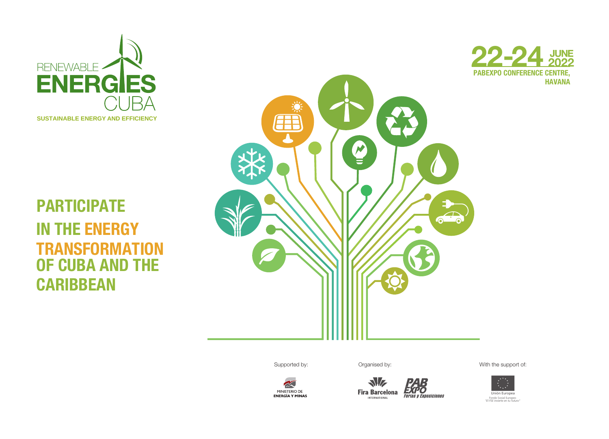

## **PARTICIPATE IN THE ENERGY TRANSFORMATION OF CUBA AND THE CARIBBEAN**



**PABEXPO CONFERENCE CENTRE, HAVANA 22-24 <sup>2022</sup> JUNE**<br>**2022** 



Supported by: Crganised by: Crganised by: With the support of:



 $\sim$ MINISTERIO DE<br>ENERGÍA Y MINAS

**EXPO**<br>Ferias y Exposiciones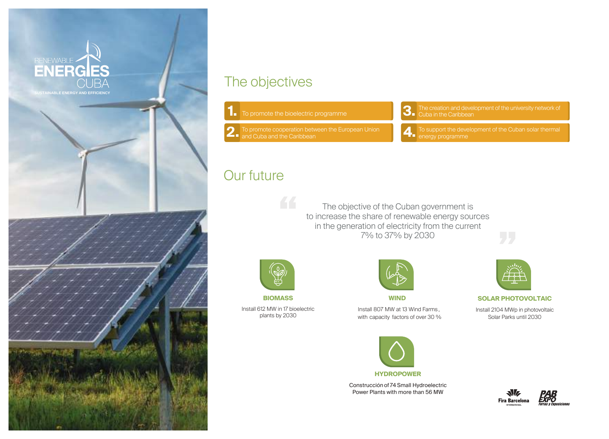

#### The objectives

- To promote the bioelectric programme **1.**
- 2. To promote cooperation betw<br>and Cuba and the Caribbean
- The creation and development of the university network of **3.** The creation and devel<br>Cuba in the Caribbean
- **4.** To support the deverse programme

### Our future

The objective of the Cuban government is to increase the share of renewable energy sources in the generation of electricity from the current 7% to 37% by 2030



plants by 2030

**BIOMASS** Install 612 MW in 17 bioelectric

66



**WIND**

Install 807 MW at 13 Wind Farms , with capacity factors of over 30 %



Construcción of 74Small Hydroelectric Power Plants with more than 56 MW



**SOLAR PHOTOVOLTAIC**

Install 2104 MWp in photovoltaic Solar Parks until 2030



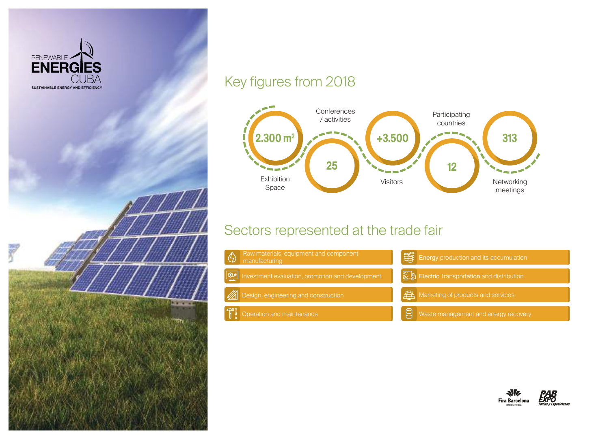

#### Key figures from 2018

. . . . .



#### Sectors represented at the trade fair



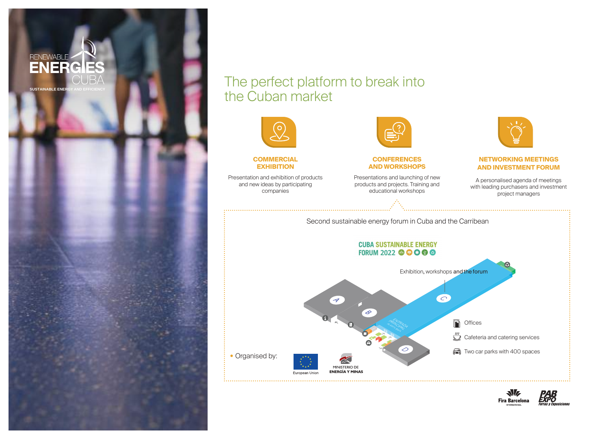

#### The perfect platform to break into the Cuban market